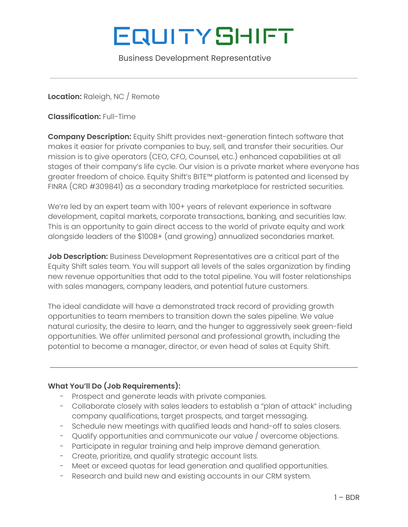# **EQUITYSHIFT**

Business Development Representative

**Location:** Raleigh, NC / Remote

**Classification:** Full-Time

**Company Description:** Equity Shift provides next-generation fintech software that makes it easier for private companies to buy, sell, and transfer their securities. Our mission is to give operators (CEO, CFO, Counsel, etc.) enhanced capabilities at all stages of their company's life cycle. Our vision is a private market where everyone has greater freedom of choice. Equity Shift's BITE™ platform is patented and licensed by FINRA (CRD #309841) as a secondary trading marketplace for restricted securities.

We're led by an expert team with 100+ years of relevant experience in software development, capital markets, corporate transactions, banking, and securities law. This is an opportunity to gain direct access to the world of private equity and work alongside leaders of the \$100B+ (and growing) annualized secondaries market.

**Job Description:** Business Development Representatives are a critical part of the Equity Shift sales team. You will support all levels of the sales organization by finding new revenue opportunities that add to the total pipeline. You will foster relationships with sales managers, company leaders, and potential future customers.

The ideal candidate will have a demonstrated track record of providing growth opportunities to team members to transition down the sales pipeline. We value natural curiosity, the desire to learn, and the hunger to aggressively seek green-field opportunities. We offer unlimited personal and professional growth, including the potential to become a manager, director, or even head of sales at Equity Shift.

## **What You'll Do (Job Requirements):**

- Prospect and generate leads with private companies.
- Collaborate closely with sales leaders to establish a "plan of attack" including company qualifications, target prospects, and target messaging.
- Schedule new meetings with qualified leads and hand-off to sales closers.
- Qualify opportunities and communicate our value / overcome objections.
- Participate in regular training and help improve demand generation.
- Create, prioritize, and qualify strategic account lists.
- Meet or exceed quotas for lead generation and qualified opportunities.
- Research and build new and existing accounts in our CRM system.